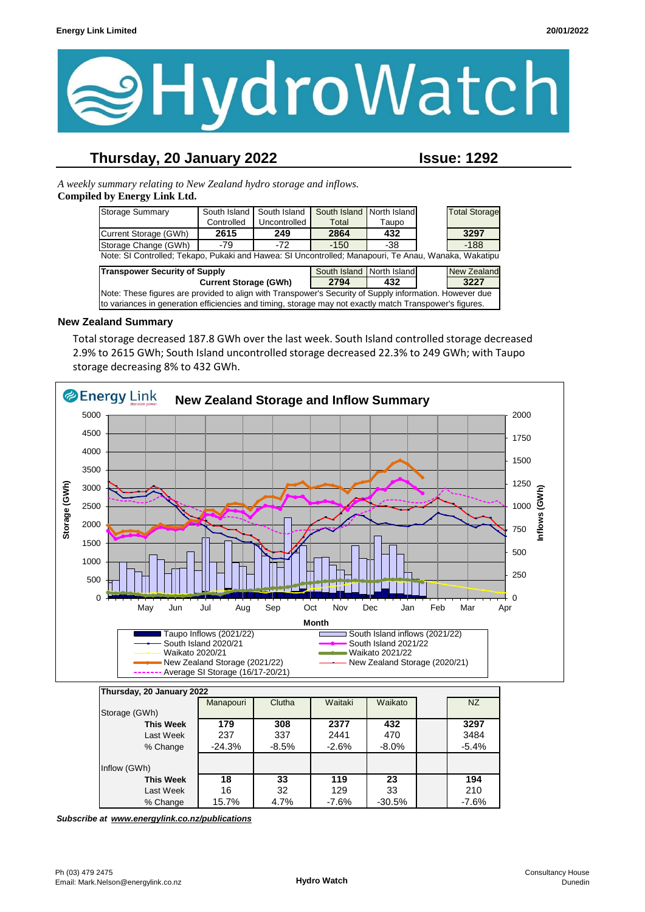

## **Thursday, 20 January 2022 Issue: 1292**

*A weekly summary relating to New Zealand hydro storage and inflows.*  **Compiled by Energy Link Ltd.**

| <b>Storage Summary</b>                                                                                  | South Island | South Island | South Island North Island |       |  | <b>Total Storage</b> |  |
|---------------------------------------------------------------------------------------------------------|--------------|--------------|---------------------------|-------|--|----------------------|--|
|                                                                                                         | Controlled   | Uncontrolled | Total                     | Taupo |  |                      |  |
| Current Storage (GWh)                                                                                   | 2615         | 249          | 2864                      | 432   |  | 3297                 |  |
| Storage Change (GWh)                                                                                    | -79          | $-72$        | $-150$                    | -38   |  | $-188$               |  |
| Note: SI Controlled; Tekapo, Pukaki and Hawea: SI Uncontrolled; Manapouri, Te Anau, Wanaka, Wakatipu    |              |              |                           |       |  |                      |  |
| <b>Transpower Security of Supply</b>                                                                    |              |              | South Island North Island |       |  | <b>New Zealand</b>   |  |
| <b>Current Storage (GWh)</b>                                                                            |              |              | 2794                      | 432   |  | 3227                 |  |
| Note: These figures are provided to align with Transpower's Security of Supply information. However due |              |              |                           |       |  |                      |  |
| to variances in generation efficiencies and timing, storage may not exactly match Transpower's figures. |              |              |                           |       |  |                      |  |

#### **New Zealand Summary**

Total storage decreased 187.8 GWh over the last week. South Island controlled storage decreased 2.9% to 2615 GWh; South Island uncontrolled storage decreased 22.3% to 249 GWh; with Taupo storage decreasing 8% to 432 GWh.



| Thursday, 20 January 2022 |           |         |         |          |  |           |
|---------------------------|-----------|---------|---------|----------|--|-----------|
|                           | Manapouri | Clutha  | Waitaki | Waikato  |  | <b>NZ</b> |
| Storage (GWh)             |           |         |         |          |  |           |
| <b>This Week</b>          | 179       | 308     | 2377    | 432      |  | 3297      |
| Last Week                 | 237       | 337     | 2441    | 470      |  | 3484      |
| % Change                  | $-24.3%$  | $-8.5%$ | $-2.6%$ | $-8.0\%$ |  | $-5.4%$   |
|                           |           |         |         |          |  |           |
| Inflow (GWh)              |           |         |         |          |  |           |
| <b>This Week</b>          | 18        | 33      | 119     | 23       |  | 194       |
| Last Week                 | 16        | 32      | 129     | 33       |  | 210       |
| % Change                  | 15.7%     | 4.7%    | $-7.6%$ | $-30.5%$ |  | $-7.6%$   |

*Subscribe at www.energylink.co.nz/publications*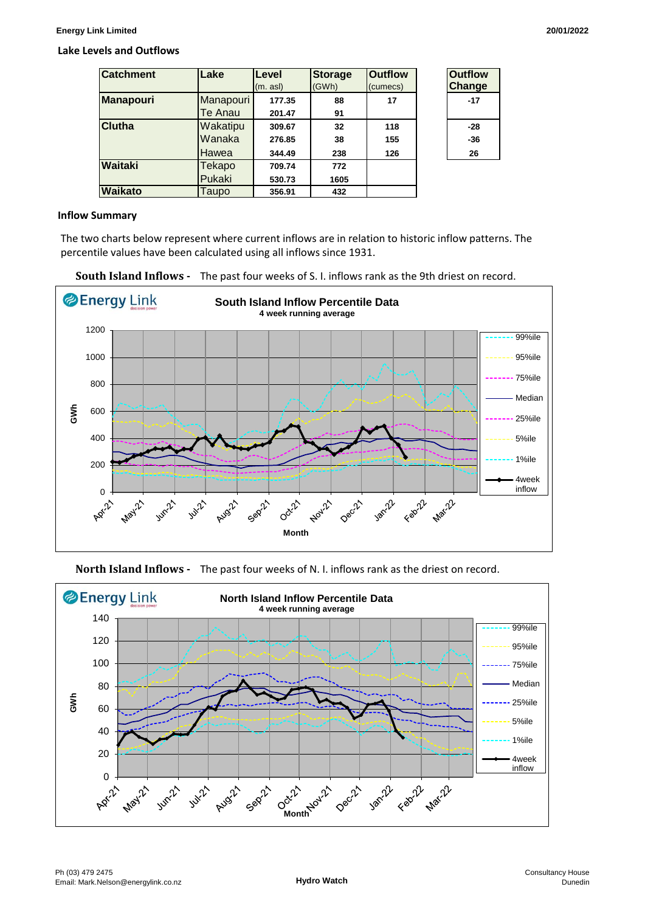#### **Lake Levels and Outflows**

| <b>Catchment</b> | Lake      | Level   | <b>Storage</b> | <b>Outflow</b> | <b>Outflow</b> |
|------------------|-----------|---------|----------------|----------------|----------------|
|                  |           | (m. as) | (GWh)          | (cumecs)       | Change         |
| <b>Manapouri</b> | Manapouri | 177.35  | 88             | 17             | $-17$          |
|                  | Te Anau   | 201.47  | 91             |                |                |
| <b>Clutha</b>    | Wakatipu  | 309.67  | 32             | 118            | $-28$          |
|                  | Wanaka    | 276.85  | 38             | 155            | $-36$          |
|                  | Hawea     | 344.49  | 238            | 126            | 26             |
| <b>Waitaki</b>   | Tekapo    | 709.74  | 772            |                |                |
|                  | Pukaki    | 530.73  | 1605           |                |                |
| <b>Waikato</b>   | Taupo     | 356.91  | 432            |                |                |

| <b>Outflow</b><br>Change |  |
|--------------------------|--|
| -17                      |  |
| -28                      |  |
| -36                      |  |
| 26                       |  |

#### **Inflow Summary**

The two charts below represent where current inflows are in relation to historic inflow patterns. The percentile values have been calculated using all inflows since 1931.







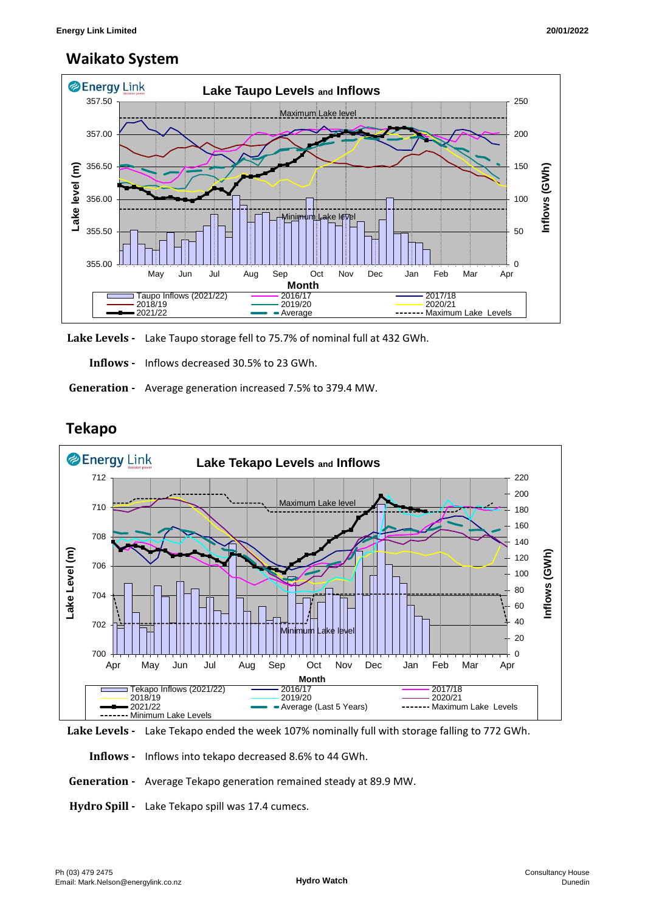## **Waikato System**



**Lake Levels -** Lake Taupo storage fell to 75.7% of nominal full at 432 GWh.

 **Inflows -** Inflows decreased 30.5% to 23 GWh.

 **Generation -** Average generation increased 7.5% to 379.4 MW.

### **Tekapo**





 **Inflows -** Inflows into tekapo decreased 8.6% to 44 GWh.

- **Generation** Average Tekapo generation remained steady at 89.9 MW.
- **Hydro Spill** Lake Tekapo spill was 17.4 cumecs.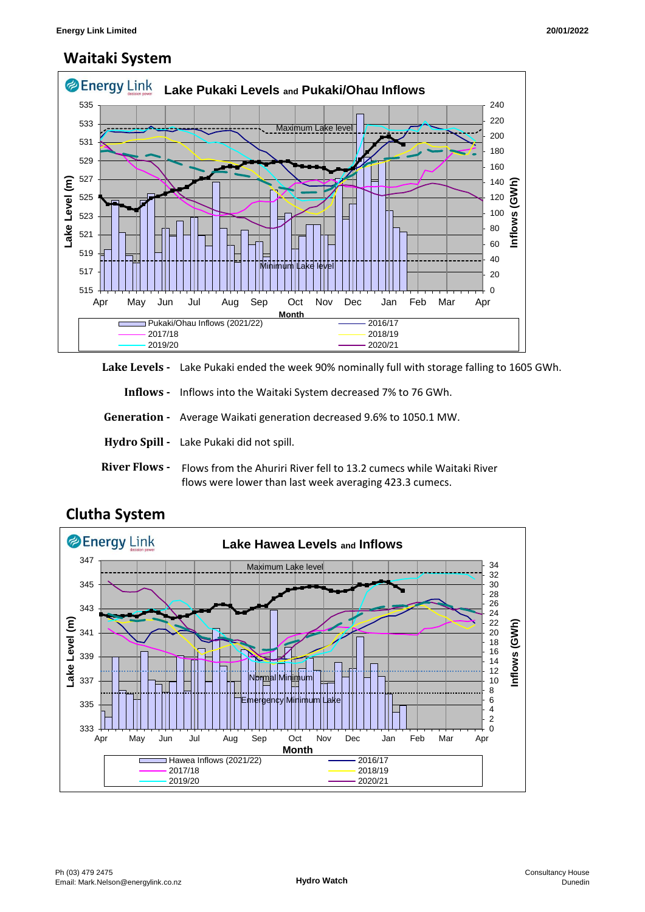# **Waitaki System**



**Lake Levels -** Lake Pukaki ended the week 90% nominally full with storage falling to 1605 GWh.

 **Inflows -** Inflows into the Waitaki System decreased 7% to 76 GWh.

 **Generation -** Average Waikati generation decreased 9.6% to 1050.1 MW.

**Hydro Spill -** Lake Pukaki did not spill.

**River Flows -**  Flows from the Ahuriri River fell to 13.2 cumecs while Waitaki River flows were lower than last week averaging 423.3 cumecs.



## **Clutha System**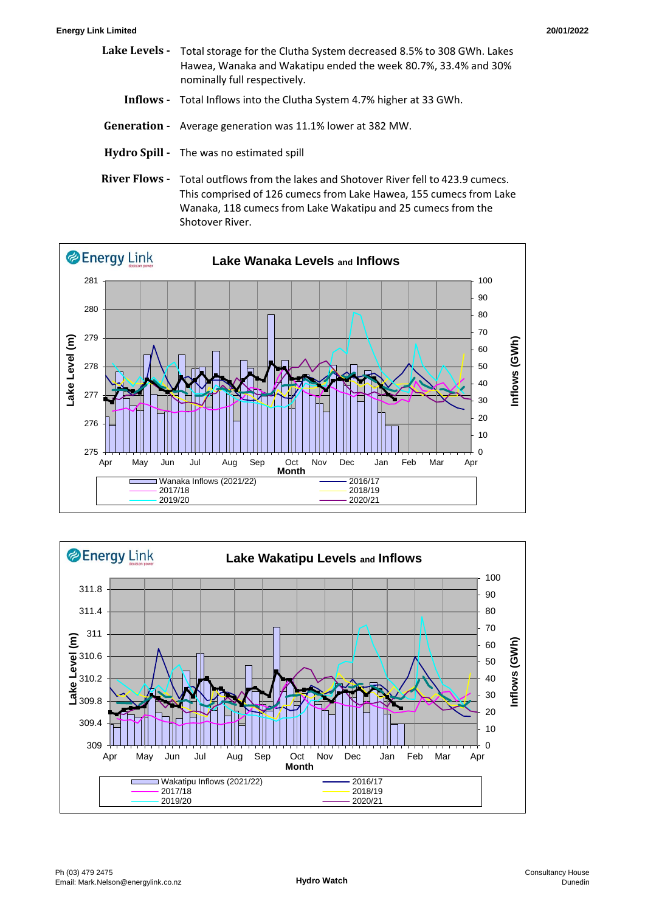- **Lake Levels**  Total storage for the Clutha System decreased 8.5% to 308 GWh. Lakes Hawea, Wanaka and Wakatipu ended the week 80.7%, 33.4% and 30% nominally full respectively.
	- **Inflows** Total Inflows into the Clutha System 4.7% higher at 33 GWh.
- **Generation** Average generation was 11.1% lower at 382 MW.
- **Hydro Spill** The was no estimated spill
- **River Flows**  Total outflows from the lakes and Shotover River fell to 423.9 cumecs. This comprised of 126 cumecs from Lake Hawea, 155 cumecs from Lake Wanaka, 118 cumecs from Lake Wakatipu and 25 cumecs from the Shotover River.